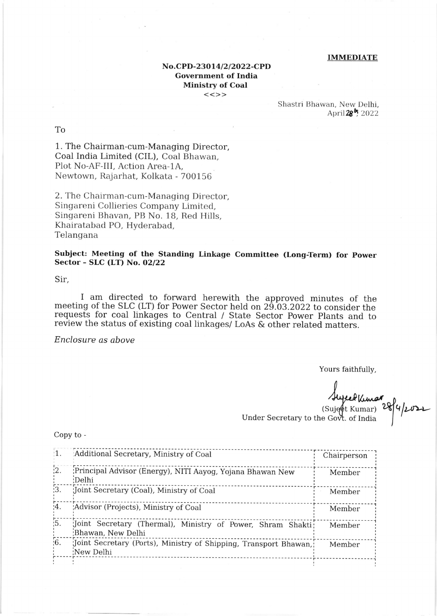## **IMMEDIATE**

## No.CPD-23014/2/2022-CPD **Government of India Ministry of Coal**  $<<>>$

Shastri Bhawan, New Delhi, April 28<sup>b</sup>, 2022

T<sub>o</sub>

1. The Chairman-cum-Managing Director, Coal India Limited (CIL), Coal Bhawan, Plot No-AF-III, Action Area-1A, Newtown, Rajarhat, Kolkata - 700156

2. The Chairman-cum-Managing Director, Singareni Collieries Company Limited, Singareni Bhavan, PB No. 18, Red Hills, Khairatabad PO, Hyderabad, Telangana

Subject: Meeting of the Standing Linkage Committee (Long-Term) for Power Sector - SLC (LT) No. 02/22

Sir.

I am directed to forward herewith the approved minutes of the meeting of the SLC (LT) for Power Sector held on 29.03.2022 to consider the requests for coal linkages to Central / State Sector Power Plants and to review the status of existing coal linkages/ LoAs & other related matters.

Enclosure as above

Yours faithfully,

Augeof Kimar<br>(Suject Kumar) 28/4/2021

Under Secretary to the Govt. of India

Copy to -

| $\mathbf{1}$ .   | Additional Secretary, Ministry of Coal                                           | Chairperson |
|------------------|----------------------------------------------------------------------------------|-------------|
| $\frac{1}{2}$ .  | Principal Advisor (Energy), NITI Aayog, Yojana Bhawan New<br>:Delhi              | Member      |
| $\overline{3}$ . | Joint Secretary (Coal), Ministry of Coal                                         | Member      |
| $\overline{4}$ . | Advisor (Projects), Ministry of Coal                                             | Member      |
| $\frac{1}{15}$ . | Joint Secretary (Thermal), Ministry of Power, Shram Shakti;<br>Bhawan, New Delhi | Member      |
| $\overline{6}$ . | Joint Secretary (Ports), Ministry of Shipping, Transport Bhawan,<br>New Delhi    | Member      |
|                  |                                                                                  |             |